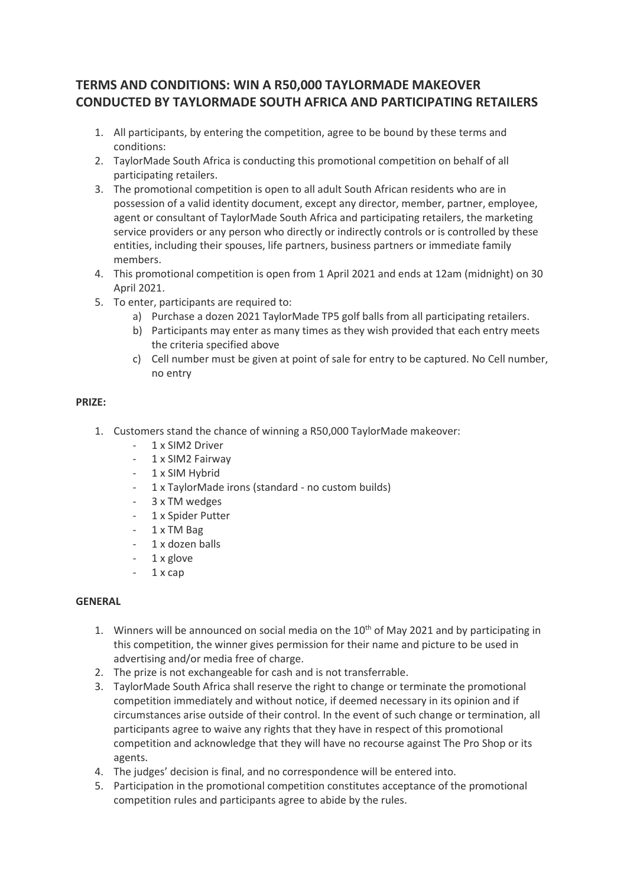## **TERMS AND CONDITIONS: WIN A R50,000 TAYLORMADE MAKEOVER CONDUCTED BY TAYLORMADE SOUTH AFRICA AND PARTICIPATING RETAILERS**

- 1. All participants, by entering the competition, agree to be bound by these terms and conditions:
- 2. TaylorMade South Africa is conducting this promotional competition on behalf of all participating retailers.
- 3. The promotional competition is open to all adult South African residents who are in possession of a valid identity document, except any director, member, partner, employee, agent or consultant of TaylorMade South Africa and participating retailers, the marketing service providers or any person who directly or indirectly controls or is controlled by these entities, including their spouses, life partners, business partners or immediate family members.
- 4. This promotional competition is open from 1 April 2021 and ends at 12am (midnight) on 30 April 2021.
- 5. To enter, participants are required to:
	- a) Purchase a dozen 2021 TaylorMade TP5 golf balls from all participating retailers.
	- b) Participants may enter as many times as they wish provided that each entry meets the criteria specified above
	- c) Cell number must be given at point of sale for entry to be captured. No Cell number, no entry

## **PRIZE:**

- 1. Customers stand the chance of winning a R50,000 TaylorMade makeover:
	- 1 x SIM2 Driver
	- 1 x SIM2 Fairway
	- 1 x SIM Hybrid
	- 1 x TaylorMade irons (standard no custom builds)
	- 3 x TM wedges
	- 1 x Spider Putter
	- 1 x TM Bag
	- 1 x dozen balls
	- 1 x glove
	- 1 x cap

## **GENERAL**

- 1. Winners will be announced on social media on the  $10<sup>th</sup>$  of May 2021 and by participating in this competition, the winner gives permission for their name and picture to be used in advertising and/or media free of charge.
- 2. The prize is not exchangeable for cash and is not transferrable.
- 3. TaylorMade South Africa shall reserve the right to change or terminate the promotional competition immediately and without notice, if deemed necessary in its opinion and if circumstances arise outside of their control. In the event of such change or termination, all participants agree to waive any rights that they have in respect of this promotional competition and acknowledge that they will have no recourse against The Pro Shop or its agents.
- 4. The judges' decision is final, and no correspondence will be entered into.
- 5. Participation in the promotional competition constitutes acceptance of the promotional competition rules and participants agree to abide by the rules.